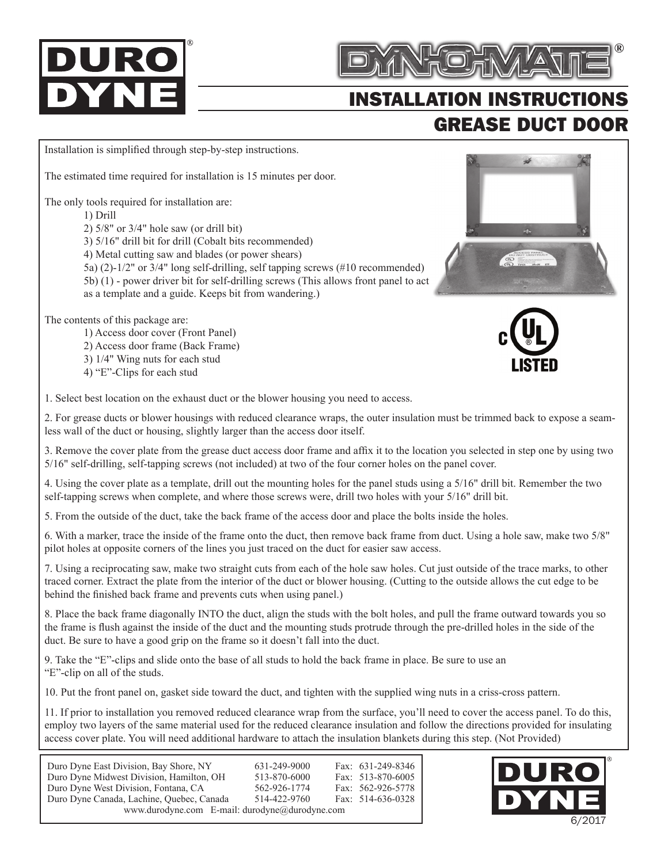## IR



## INSTALLATION INSTRUCTIONS GREASE DUCT DOOR

Installation is simplified through step-by-step instructions.

The estimated time required for installation is 15 minutes per door.

The only tools required for installation are:

1) Drill

2) 5/8" or 3/4" hole saw (or drill bit)

3) 5/16" drill bit for drill (Cobalt bits recommended)

4) Metal cutting saw and blades (or power shears)

5a) (2)-1/2" or 3/4" long self-drilling, self tapping screws (#10 recommended)

5b) (1) - power driver bit for self-drilling screws (This allows front panel to act

as a template and a guide. Keeps bit from wandering.)

The contents of this package are:

1) Access door cover (Front Panel)

2) Access door frame (Back Frame)

3) 1/4" Wing nuts for each stud

4) "E"-Clips for each stud

1. Select best location on the exhaust duct or the blower housing you need to access.

2. For grease ducts or blower housings with reduced clearance wraps, the outer insulation must be trimmed back to expose a seamless wall of the duct or housing, slightly larger than the access door itself.

3. Remove the cover plate from the grease duct access door frame and affix it to the location you selected in step one by using two 5/16" self-drilling, self-tapping screws (not included) at two of the four corner holes on the panel cover.

4. Using the cover plate as a template, drill out the mounting holes for the panel studs using a 5/16" drill bit. Remember the two self-tapping screws when complete, and where those screws were, drill two holes with your 5/16" drill bit.

5. From the outside of the duct, take the back frame of the access door and place the bolts inside the holes.

6. With a marker, trace the inside of the frame onto the duct, then remove back frame from duct. Using a hole saw, make two 5/8" pilot holes at opposite corners of the lines you just traced on the duct for easier saw access.

7. Using a reciprocating saw, make two straight cuts from each of the hole saw holes. Cut just outside of the trace marks, to other traced corner. Extract the plate from the interior of the duct or blower housing. (Cutting to the outside allows the cut edge to be behind the finished back frame and prevents cuts when using panel.)

8. Place the back frame diagonally INTO the duct, align the studs with the bolt holes, and pull the frame outward towards you so the frame is flush against the inside of the duct and the mounting studs protrude through the pre-drilled holes in the side of the duct. Be sure to have a good grip on the frame so it doesn't fall into the duct.

9. Take the "E"-clips and slide onto the base of all studs to hold the back frame in place. Be sure to use an "E"-clip on all of the studs.

10. Put the front panel on, gasket side toward the duct, and tighten with the supplied wing nuts in a criss-cross pattern.

11. If prior to installation you removed reduced clearance wrap from the surface, you'll need to cover the access panel. To do this, employ two layers of the same material used for the reduced clearance insulation and follow the directions provided for insulating access cover plate. You will need additional hardware to attach the insulation blankets during this step. (Not Provided)

| Duro Dyne East Division, Bay Shore, NY         | 631-249-9000 |  | Fax: 631-249-8346 |  |  |  |  |
|------------------------------------------------|--------------|--|-------------------|--|--|--|--|
| Duro Dyne Midwest Division, Hamilton, OH       | 513-870-6000 |  | Fax: 513-870-6005 |  |  |  |  |
| Duro Dyne West Division, Fontana, CA           | 562-926-1774 |  | Fax: 562-926-5778 |  |  |  |  |
| Duro Dyne Canada, Lachine, Quebec, Canada      | 514-422-9760 |  | Fax: 514-636-0328 |  |  |  |  |
| www.durodyne.com E-mail: durodyne@durodyne.com |              |  |                   |  |  |  |  |